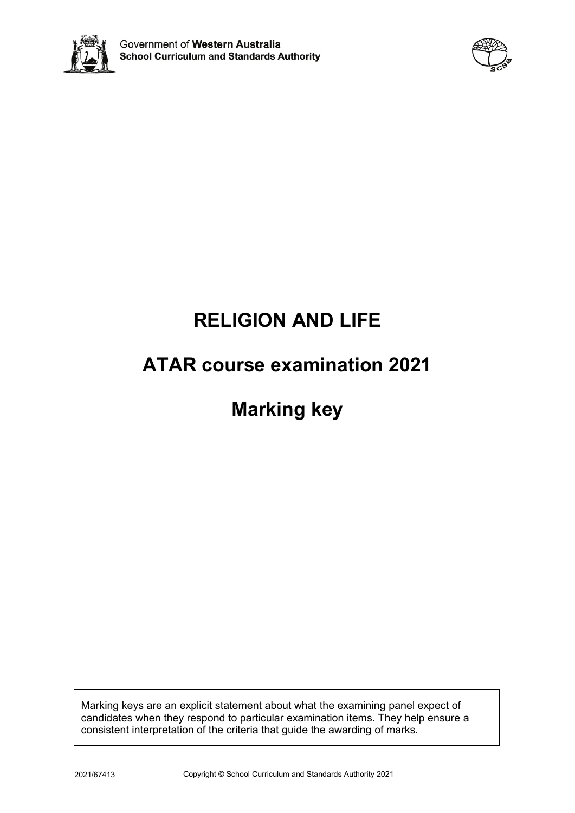



# **RELIGION AND LIFE**

# **ATAR course examination 2021**

# **Marking key**

Marking keys are an explicit statement about what the examining panel expect of candidates when they respond to particular examination items. They help ensure a consistent interpretation of the criteria that guide the awarding of marks.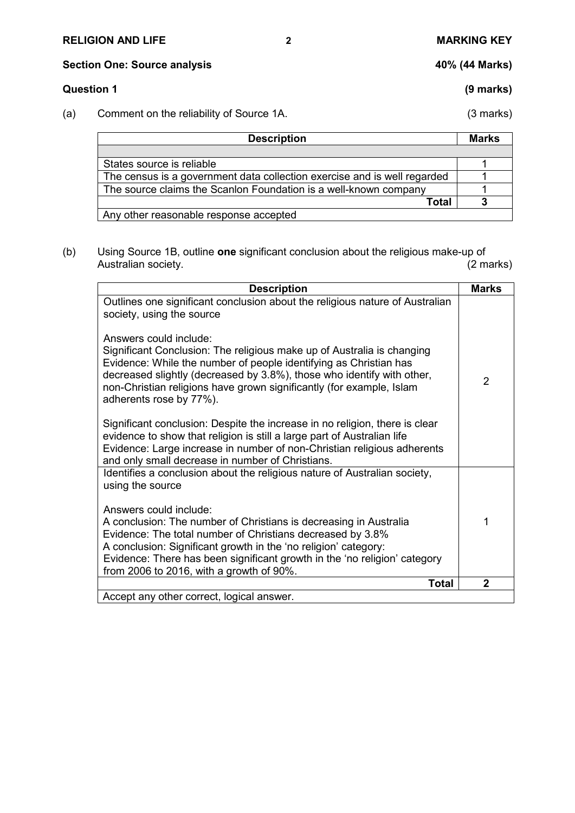# **RELIGION AND LIFE 2 MARKING KEY**

# **Section One: Source analysis 40% (44 Marks)**

# **Question 1 (9 marks)**

(a) Comment on the reliability of Source 1A. (3 marks)

| <b>Description</b>                                                       | <b>Marks</b> |
|--------------------------------------------------------------------------|--------------|
|                                                                          |              |
| States source is reliable                                                |              |
| The census is a government data collection exercise and is well regarded |              |
| The source claims the Scanlon Foundation is a well-known company         |              |
| Total                                                                    |              |
| Any other reasonable response accepted                                   |              |

(b) Using Source 1B, outline **one** significant conclusion about the religious make-up of Australian society.

| <b>Description</b>                                                                                                                                                                                                                                                                                                                                           | <b>Marks</b>   |
|--------------------------------------------------------------------------------------------------------------------------------------------------------------------------------------------------------------------------------------------------------------------------------------------------------------------------------------------------------------|----------------|
| Outlines one significant conclusion about the religious nature of Australian<br>society, using the source<br>Answers could include:<br>Significant Conclusion: The religious make up of Australia is changing<br>Evidence: While the number of people identifying as Christian has<br>decreased slightly (decreased by 3.8%), those who identify with other, |                |
| non-Christian religions have grown significantly (for example, Islam<br>adherents rose by 77%).                                                                                                                                                                                                                                                              | $\overline{2}$ |
| Significant conclusion: Despite the increase in no religion, there is clear<br>evidence to show that religion is still a large part of Australian life<br>Evidence: Large increase in number of non-Christian religious adherents<br>and only small decrease in number of Christians.                                                                        |                |
| Identifies a conclusion about the religious nature of Australian society,<br>using the source<br>Answers could include:                                                                                                                                                                                                                                      |                |
| A conclusion: The number of Christians is decreasing in Australia<br>Evidence: The total number of Christians decreased by 3.8%<br>A conclusion: Significant growth in the 'no religion' category:<br>Evidence: There has been significant growth in the 'no religion' category<br>from 2006 to 2016, with a growth of 90%.                                  | 1              |
| <b>Total</b>                                                                                                                                                                                                                                                                                                                                                 | $\overline{2}$ |
| Accept any other correct, logical answer.                                                                                                                                                                                                                                                                                                                    |                |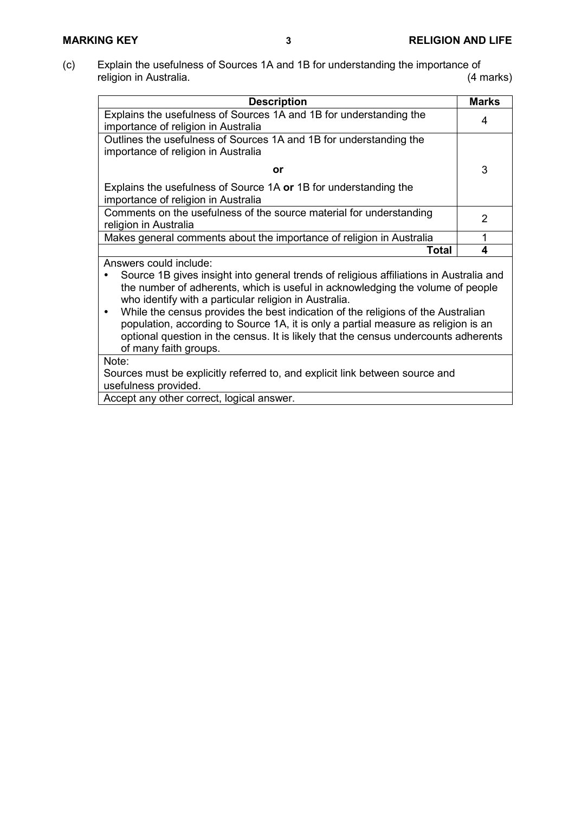(c) Explain the usefulness of Sources 1A and 1B for understanding the importance of religion in Australia. religion in Australia.

| <b>Description</b>                                                                                                                                                                                                                                                                                                                                                                                                                                                                                                                                                 | <b>Marks</b> |
|--------------------------------------------------------------------------------------------------------------------------------------------------------------------------------------------------------------------------------------------------------------------------------------------------------------------------------------------------------------------------------------------------------------------------------------------------------------------------------------------------------------------------------------------------------------------|--------------|
| Explains the usefulness of Sources 1A and 1B for understanding the<br>importance of religion in Australia                                                                                                                                                                                                                                                                                                                                                                                                                                                          | 4            |
| Outlines the usefulness of Sources 1A and 1B for understanding the<br>importance of religion in Australia                                                                                                                                                                                                                                                                                                                                                                                                                                                          |              |
| or                                                                                                                                                                                                                                                                                                                                                                                                                                                                                                                                                                 | 3            |
| Explains the usefulness of Source 1A or 1B for understanding the<br>importance of religion in Australia                                                                                                                                                                                                                                                                                                                                                                                                                                                            |              |
| Comments on the usefulness of the source material for understanding<br>religion in Australia                                                                                                                                                                                                                                                                                                                                                                                                                                                                       | 2            |
| Makes general comments about the importance of religion in Australia                                                                                                                                                                                                                                                                                                                                                                                                                                                                                               | 1            |
| Total                                                                                                                                                                                                                                                                                                                                                                                                                                                                                                                                                              | 4            |
| Answers could include:<br>Source 1B gives insight into general trends of religious affiliations in Australia and<br>the number of adherents, which is useful in acknowledging the volume of people<br>who identify with a particular religion in Australia.<br>While the census provides the best indication of the religions of the Australian<br>$\bullet$<br>population, according to Source 1A, it is only a partial measure as religion is an<br>optional question in the census. It is likely that the census undercounts adherents<br>of many faith groups. |              |
| Note:<br>Sources must be explicitly referred to, and explicit link between source and<br>usefulness provided.<br>Accept any other correct, logical answer.                                                                                                                                                                                                                                                                                                                                                                                                         |              |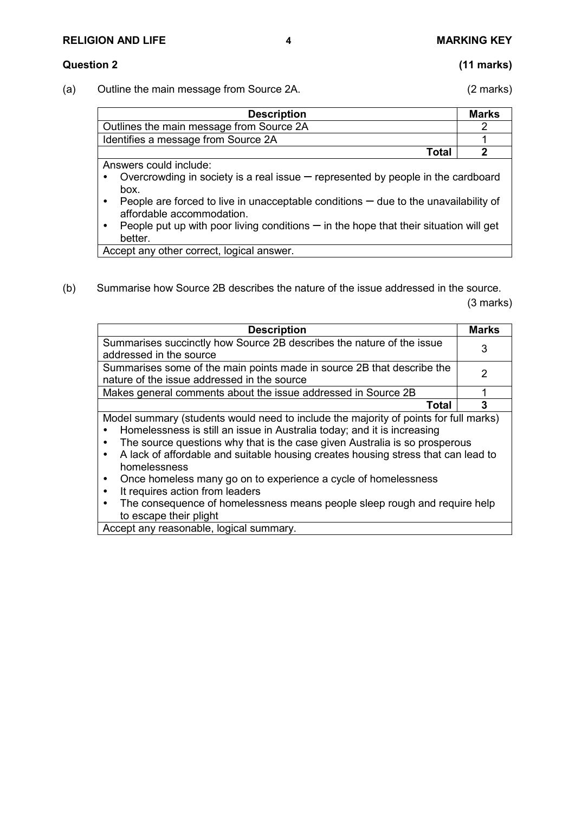# **RELIGION AND LIFE 4 MARKING KEY**

#### **Question 2 (11 marks)**

(a) Outline the main message from Source 2A. (2 marks)

| <b>Description</b>                                                                                                              | <b>Marks</b> |
|---------------------------------------------------------------------------------------------------------------------------------|--------------|
| Outlines the main message from Source 2A                                                                                        |              |
| Identifies a message from Source 2A                                                                                             |              |
| Total                                                                                                                           |              |
| Answers could include:                                                                                                          |              |
| Overcrowding in society is a real issue $-$ represented by people in the cardboard<br>$\bullet$<br>box.                         |              |
| People are forced to live in unacceptable conditions $-$ due to the unavailability of<br>$\bullet$<br>affordable accommodation. |              |
| Decode put up with poor living conditions $-$ in the bone that their situation will get                                         |              |

People put up with poor living conditions  $-\mathbf{r}$  in the hope that their situation will get better.

Accept any other correct, logical answer.

(b) Summarise how Source 2B describes the nature of the issue addressed in the source.

(3 marks)

| <b>Description</b>                                                                                                                                                                                                                                                                                                                                                                                                                                                                                                                                                                       | <b>Marks</b> |
|------------------------------------------------------------------------------------------------------------------------------------------------------------------------------------------------------------------------------------------------------------------------------------------------------------------------------------------------------------------------------------------------------------------------------------------------------------------------------------------------------------------------------------------------------------------------------------------|--------------|
| Summarises succinctly how Source 2B describes the nature of the issue<br>addressed in the source                                                                                                                                                                                                                                                                                                                                                                                                                                                                                         | 3            |
| Summarises some of the main points made in source 2B that describe the<br>nature of the issue addressed in the source                                                                                                                                                                                                                                                                                                                                                                                                                                                                    | 2            |
| Makes general comments about the issue addressed in Source 2B                                                                                                                                                                                                                                                                                                                                                                                                                                                                                                                            |              |
| Total                                                                                                                                                                                                                                                                                                                                                                                                                                                                                                                                                                                    | 3            |
| Model summary (students would need to include the majority of points for full marks)<br>Homelessness is still an issue in Australia today; and it is increasing<br>The source questions why that is the case given Australia is so prosperous<br>A lack of affordable and suitable housing creates housing stress that can lead to<br>$\bullet$<br>homelessness<br>Once homeless many go on to experience a cycle of homelessness<br>It requires action from leaders<br>The consequence of homelessness means people sleep rough and require help<br>$\bullet$<br>to escape their plight |              |

Accept any reasonable, logical summary.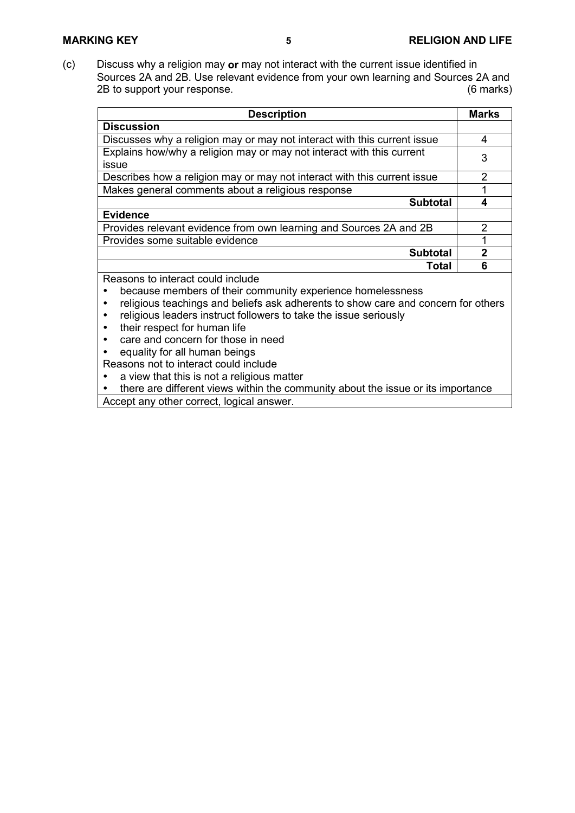(c) Discuss why a religion may **or** may not interact with the current issue identified in Sources 2A and 2B. Use relevant evidence from your own learning and Sources 2A and<br>2B to support your response. 2B to support your response.

| <b>Description</b>                                                             | <b>Marks</b>  |
|--------------------------------------------------------------------------------|---------------|
| <b>Discussion</b>                                                              |               |
| Discusses why a religion may or may not interact with this current issue       | 4             |
| Explains how/why a religion may or may not interact with this current<br>issue | 3             |
| Describes how a religion may or may not interact with this current issue       | $\mathcal{P}$ |
| Makes general comments about a religious response                              |               |
| <b>Subtotal</b>                                                                |               |
| <b>Evidence</b>                                                                |               |
| Provides relevant evidence from own learning and Sources 2A and 2B             | 2             |
| Provides some suitable evidence                                                |               |
| <b>Subtotal</b>                                                                | 2             |
| Total                                                                          | Բ             |
| Reasons to interact could include                                              |               |

because members of their community experience homelessness

- religious teachings and beliefs ask adherents to show care and concern for others
- religious leaders instruct followers to take the issue seriously
- their respect for human life
- care and concern for those in need
- equality for all human beings

Reasons not to interact could include

- a view that this is not a religious matter
- there are different views within the community about the issue or its importance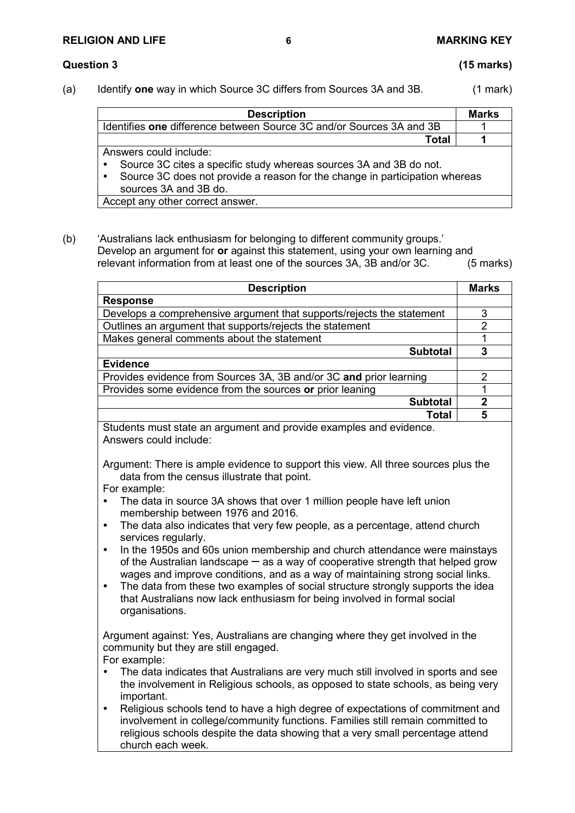### **RELIGION AND LIFE 6 MARKING KEY**

# **Question 3 (15 marks)**

(a) Identify **one** way in which Source 3C differs from Sources 3A and 3B. (1 mark)

| <b>Description</b>                                                                       | <b>Marks</b> |
|------------------------------------------------------------------------------------------|--------------|
| Identifies one difference between Source 3C and/or Sources 3A and 3B                     |              |
| Total                                                                                    |              |
| Answers could include:                                                                   |              |
| Source 3C cites a specific study whereas sources 3A and 3B do not.<br>$\bullet$          |              |
| Source 3C does not provide a reason for the change in participation whereas<br>$\bullet$ |              |
| sources 3A and 3B do.                                                                    |              |
| Accept any other correct answer.                                                         |              |

(b) 'Australians lack enthusiasm for belonging to different community groups.' Develop an argument for **or** against this statement, using your own learning and relevant information from at least one of the sources 3A, 3B and/or 3C. (5 marks)

| <b>Description</b>                                                    | <b>Marks</b>  |
|-----------------------------------------------------------------------|---------------|
| <b>Response</b>                                                       |               |
| Develops a comprehensive argument that supports/rejects the statement | 3             |
| Outlines an argument that supports/rejects the statement              | $\mathcal{P}$ |
| Makes general comments about the statement                            |               |
| <b>Subtotal</b>                                                       | 3             |
| <b>Evidence</b>                                                       |               |
| Provides evidence from Sources 3A, 3B and/or 3C and prior learning    | 2             |
| Provides some evidence from the sources or prior leaning              |               |
| <b>Subtotal</b>                                                       | 2             |
| Total                                                                 | 5             |

Students must state an argument and provide examples and evidence. Answers could include:

Argument: There is ample evidence to support this view. All three sources plus the data from the census illustrate that point.

For example:

- The data in source 3A shows that over 1 million people have left union membership between 1976 and 2016.
- The data also indicates that very few people, as a percentage, attend church services regularly.
- In the 1950s and 60s union membership and church attendance were mainstays of the Australian landscape  $-\infty$  as a way of cooperative strength that helped grow wages and improve conditions, and as a way of maintaining strong social links.
- The data from these two examples of social structure strongly supports the idea that Australians now lack enthusiasm for being involved in formal social organisations.

Argument against: Yes, Australians are changing where they get involved in the community but they are still engaged.

For example:

- The data indicates that Australians are very much still involved in sports and see the involvement in Religious schools, as opposed to state schools, as being very important.
- Religious schools tend to have a high degree of expectations of commitment and involvement in college/community functions. Families still remain committed to religious schools despite the data showing that a very small percentage attend church each week.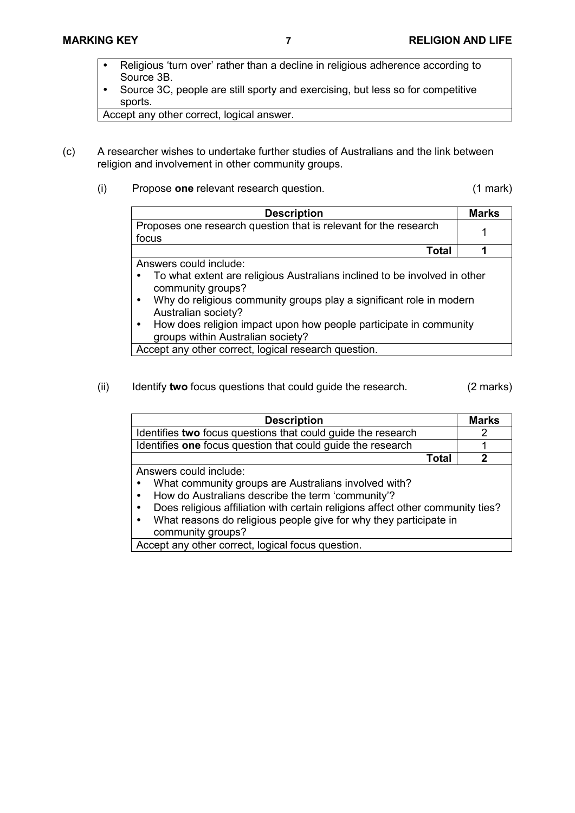- Religious 'turn over' rather than a decline in religious adherence according to Source 3B.
- Source 3C, people are still sporty and exercising, but less so for competitive sports.

Accept any other correct, logical answer.

- (c) A researcher wishes to undertake further studies of Australians and the link between religion and involvement in other community groups.
	- (i) Propose **one** relevant research question. (1 mark)

| <b>Description</b>                                                        | <b>Marks</b> |
|---------------------------------------------------------------------------|--------------|
| Proposes one research question that is relevant for the research          |              |
| focus                                                                     |              |
| Total                                                                     |              |
| Answers could include:                                                    |              |
| To what extent are religious Australians inclined to be involved in other |              |

- community groups? Why do religious community groups play a significant role in modern Australian society?
- How does religion impact upon how people participate in community groups within Australian society?

Accept any other correct, logical research question.

(ii) Identify **two** focus questions that could guide the research. (2 marks)

| <b>Description</b>                                                             | <b>Marks</b> |
|--------------------------------------------------------------------------------|--------------|
| Identifies two focus questions that could guide the research                   | 2            |
| Identifies one focus question that could guide the research                    |              |
| Total                                                                          |              |
| Answers could include:                                                         |              |
| What community groups are Australians involved with?                           |              |
| How do Australians describe the term 'community'?                              |              |
| Does religious affiliation with certain religions affect other community ties? |              |
| What reasons do religious people give for why they participate in<br>$\bullet$ |              |
| community groups?                                                              |              |
| Accept any other correct, logical focus question.                              |              |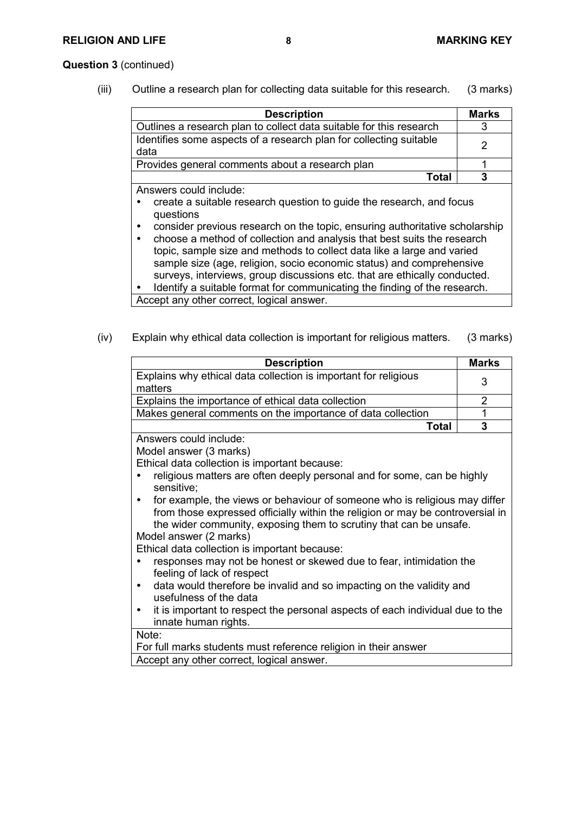### **Question 3** (continued)

(iii) Outline a research plan for collecting data suitable for this research. (3 marks)

| <b>Description</b>                                                         | <b>Marks</b> |
|----------------------------------------------------------------------------|--------------|
| Outlines a research plan to collect data suitable for this research        |              |
| Identifies some aspects of a research plan for collecting suitable<br>data |              |
| Provides general comments about a research plan                            |              |
| Total                                                                      |              |

Answers could include:

- create a suitable research question to guide the research, and focus questions
- consider previous research on the topic, ensuring authoritative scholarship
- choose a method of collection and analysis that best suits the research topic, sample size and methods to collect data like a large and varied sample size (age, religion, socio economic status) and comprehensive surveys, interviews, group discussions etc. that are ethically conducted.

Identify a suitable format for communicating the finding of the research.

Accept any other correct, logical answer.

(iv) Explain why ethical data collection is important for religious matters. (3 marks)

| <b>Description</b>                                                         | <b>Marks</b> |
|----------------------------------------------------------------------------|--------------|
| Explains why ethical data collection is important for religious<br>matters |              |
| Explains the importance of ethical data collection                         |              |
| Makes general comments on the importance of data collection                |              |
| Total                                                                      |              |

Answers could include:

Model answer (3 marks)

Ethical data collection is important because:

- religious matters are often deeply personal and for some, can be highly sensitive;
- for example, the views or behaviour of someone who is religious may differ from those expressed officially within the religion or may be controversial in the wider community, exposing them to scrutiny that can be unsafe. Model answer (2 marks)

Ethical data collection is important because:

- responses may not be honest or skewed due to fear, intimidation the feeling of lack of respect
- data would therefore be invalid and so impacting on the validity and usefulness of the data
- it is important to respect the personal aspects of each individual due to the innate human rights.

Note:

For full marks students must reference religion in their answer Accept any other correct, logical answer.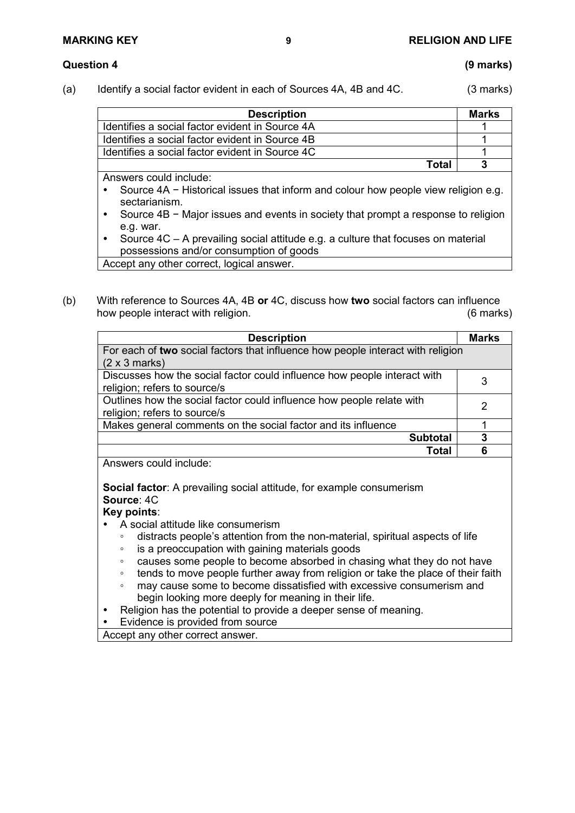(a) Identify a social factor evident in each of Sources 4A, 4B and 4C. (3 marks)

| <b>Description</b>                              | <b>Marks</b> |
|-------------------------------------------------|--------------|
| Identifies a social factor evident in Source 4A |              |
| Identifies a social factor evident in Source 4B |              |
| Identifies a social factor evident in Source 4C |              |
| Total                                           |              |

Answers could include:

- Source 4A − Historical issues that inform and colour how people view religion e.g. sectarianism.
- Source 4B − Major issues and events in society that prompt a response to religion e.g. war.
- Source 4C A prevailing social attitude e.g. a culture that focuses on material possessions and/or consumption of goods Accept any other correct, logical answer.
- (b) With reference to Sources 4A, 4B **or** 4C, discuss how **two** social factors can influence how people interact with religion.

| <b>Description</b>                                                              | <b>Marks</b> |
|---------------------------------------------------------------------------------|--------------|
| For each of two social factors that influence how people interact with religion |              |
| $(2 \times 3 \text{ marks})$                                                    |              |
| Discusses how the social factor could influence how people interact with        |              |
| religion; refers to source/s                                                    |              |
| Outlines how the social factor could influence how people relate with           | 2            |
| religion; refers to source/s                                                    |              |
| Makes general comments on the social factor and its influence                   |              |
| <b>Subtotal</b>                                                                 | 3            |
| Total                                                                           |              |

Answers could include:

**Social factor**: A prevailing social attitude, for example consumerism **Source**: 4C

# **Key points**:

- A social attitude like consumerism
	- distracts people's attention from the non-material, spiritual aspects of life
	- is a preoccupation with gaining materials goods
	- causes some people to become absorbed in chasing what they do not have
	- tends to move people further away from religion or take the place of their faith
	- may cause some to become dissatisfied with excessive consumerism and begin looking more deeply for meaning in their life.
- Religion has the potential to provide a deeper sense of meaning.
- Evidence is provided from source

Accept any other correct answer.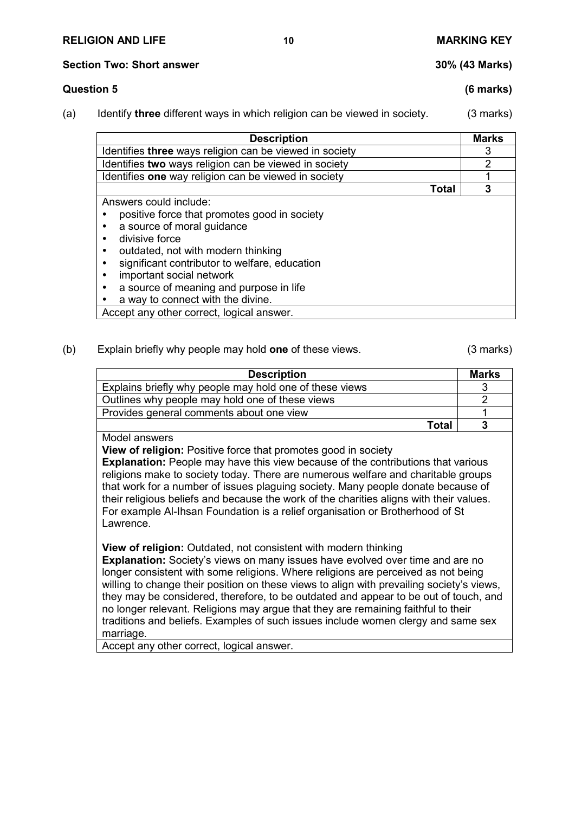#### **Section Two: Short answer 30% (43 Marks)**

# **Question 5 (6 marks)**

(a) Identify **three** different ways in which religion can be viewed in society. (3 marks)

| <b>Description</b>                                                                                                                                                                                                                                                                                                        | <b>Marks</b> |
|---------------------------------------------------------------------------------------------------------------------------------------------------------------------------------------------------------------------------------------------------------------------------------------------------------------------------|--------------|
| Identifies three ways religion can be viewed in society                                                                                                                                                                                                                                                                   | 3            |
| Identifies two ways religion can be viewed in society                                                                                                                                                                                                                                                                     | 2            |
| Identifies one way religion can be viewed in society                                                                                                                                                                                                                                                                      |              |
| Total                                                                                                                                                                                                                                                                                                                     | 3            |
| Answers could include:<br>positive force that promotes good in society<br>a source of moral guidance<br>divisive force<br>outdated, not with modern thinking<br>significant contributor to welfare, education<br>important social network<br>a source of meaning and purpose in life<br>a way to connect with the divine. |              |

Accept any other correct, logical answer.

### (b) Explain briefly why people may hold **one** of these views. (3 marks)

| <b>Description</b>                                      | <b>Marks</b> |
|---------------------------------------------------------|--------------|
| Explains briefly why people may hold one of these views |              |
| Outlines why people may hold one of these views         |              |
| Provides general comments about one view                |              |
| Total                                                   |              |

Model answers

**View of religion:** Positive force that promotes good in society

**Explanation:** People may have this view because of the contributions that various religions make to society today. There are numerous welfare and charitable groups that work for a number of issues plaguing society. Many people donate because of their religious beliefs and because the work of the charities aligns with their values. For example Al-Ihsan Foundation is a relief organisation or Brotherhood of St Lawrence.

**View of religion:** Outdated, not consistent with modern thinking

**Explanation:** Society's views on many issues have evolved over time and are no longer consistent with some religions. Where religions are perceived as not being willing to change their position on these views to align with prevailing society's views, they may be considered, therefore, to be outdated and appear to be out of touch, and no longer relevant. Religions may argue that they are remaining faithful to their traditions and beliefs. Examples of such issues include women clergy and same sex marriage.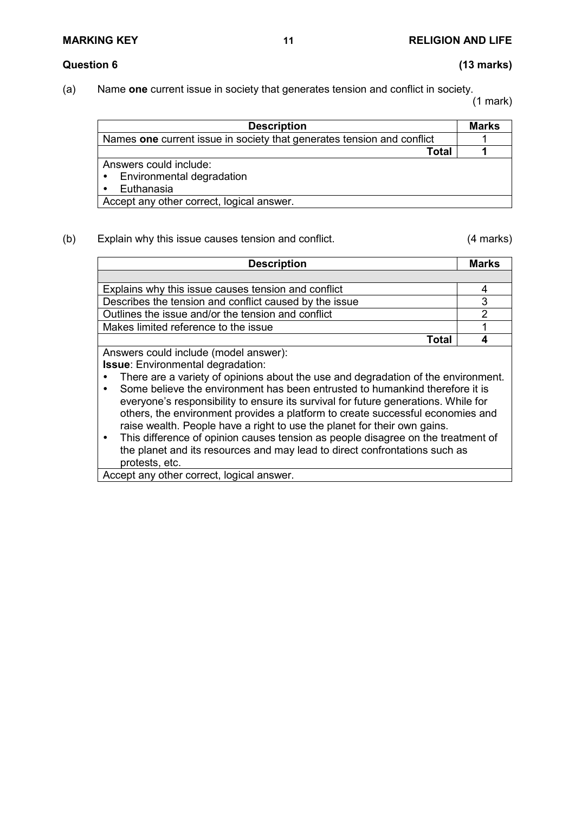## **Question 6 (13 marks)**

(a) Name **one** current issue in society that generates tension and conflict in society.

(1 mark)

| <b>Description</b>                                                     | <b>Marks</b> |
|------------------------------------------------------------------------|--------------|
| Names one current issue in society that generates tension and conflict |              |
| Total                                                                  |              |
| Answers could include:                                                 |              |
| Environmental degradation<br>٠                                         |              |
| Euthanasia                                                             |              |
| Accept any other correct, logical answer.                              |              |

### (b) Explain why this issue causes tension and conflict. (4 marks)

| <b>Description</b>                                                                                                                                                | <b>Marks</b> |
|-------------------------------------------------------------------------------------------------------------------------------------------------------------------|--------------|
|                                                                                                                                                                   |              |
| Explains why this issue causes tension and conflict                                                                                                               | 4            |
| Describes the tension and conflict caused by the issue                                                                                                            | 3            |
| Outlines the issue and/or the tension and conflict                                                                                                                | 2            |
| Makes limited reference to the issue                                                                                                                              |              |
| Total                                                                                                                                                             |              |
| Answers could include (model answer):                                                                                                                             |              |
| <b>Issue:</b> Environmental degradation:                                                                                                                          |              |
| There are a variety of opinions about the use and degradation of the environment.<br>Some believe the environment has been entrusted to humankind therefore it is |              |

- everyone's responsibility to ensure its survival for future generations. While for others, the environment provides a platform to create successful economies and raise wealth. People have a right to use the planet for their own gains.
- This difference of opinion causes tension as people disagree on the treatment of the planet and its resources and may lead to direct confrontations such as protests, etc.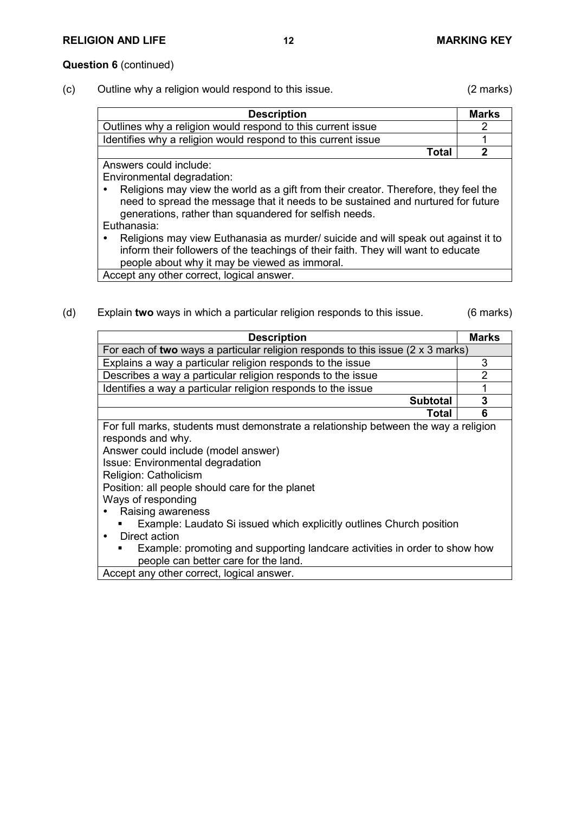### **Question 6** (continued)

(c) Outline why a religion would respond to this issue. (2 marks)

| <b>Description</b>                                                                  | <b>Marks</b> |
|-------------------------------------------------------------------------------------|--------------|
| Outlines why a religion would respond to this current issue                         | 2            |
| Identifies why a religion would respond to this current issue                       |              |
| Total                                                                               |              |
| Answers could include:                                                              |              |
| Environmental degradation:                                                          |              |
| Religions may view the world as a gift from their creator. Therefore, they feel the |              |
| need to spread the message that it needs to be sustained and nurtured for future    |              |
| generations, rather than squandered for selfish needs.                              |              |

Euthanasia:

 Religions may view Euthanasia as murder/ suicide and will speak out against it to inform their followers of the teachings of their faith. They will want to educate people about why it may be viewed as immoral.

Accept any other correct, logical answer.

(d) Explain **two** ways in which a particular religion responds to this issue. (6 marks)

| <b>Description</b>                                                                                                                                                                                                                                                                                                                                                                                                                                                                                                        | Marks |
|---------------------------------------------------------------------------------------------------------------------------------------------------------------------------------------------------------------------------------------------------------------------------------------------------------------------------------------------------------------------------------------------------------------------------------------------------------------------------------------------------------------------------|-------|
| For each of two ways a particular religion responds to this issue $(2 \times 3 \text{ marks})$                                                                                                                                                                                                                                                                                                                                                                                                                            |       |
| Explains a way a particular religion responds to the issue                                                                                                                                                                                                                                                                                                                                                                                                                                                                | 3     |
| Describes a way a particular religion responds to the issue                                                                                                                                                                                                                                                                                                                                                                                                                                                               | 2     |
| Identifies a way a particular religion responds to the issue                                                                                                                                                                                                                                                                                                                                                                                                                                                              |       |
| <b>Subtotal</b>                                                                                                                                                                                                                                                                                                                                                                                                                                                                                                           | 3     |
| Total                                                                                                                                                                                                                                                                                                                                                                                                                                                                                                                     | 6     |
| For full marks, students must demonstrate a relationship between the way a religion<br>responds and why.<br>Answer could include (model answer)<br>Issue: Environmental degradation<br>Religion: Catholicism<br>Position: all people should care for the planet<br>Ways of responding<br>Raising awareness<br>Example: Laudato Si issued which explicitly outlines Church position<br>Direct action<br>Example: promoting and supporting landcare activities in order to show how<br>people can better care for the land. |       |
| Accept any other correct, logical answer.                                                                                                                                                                                                                                                                                                                                                                                                                                                                                 |       |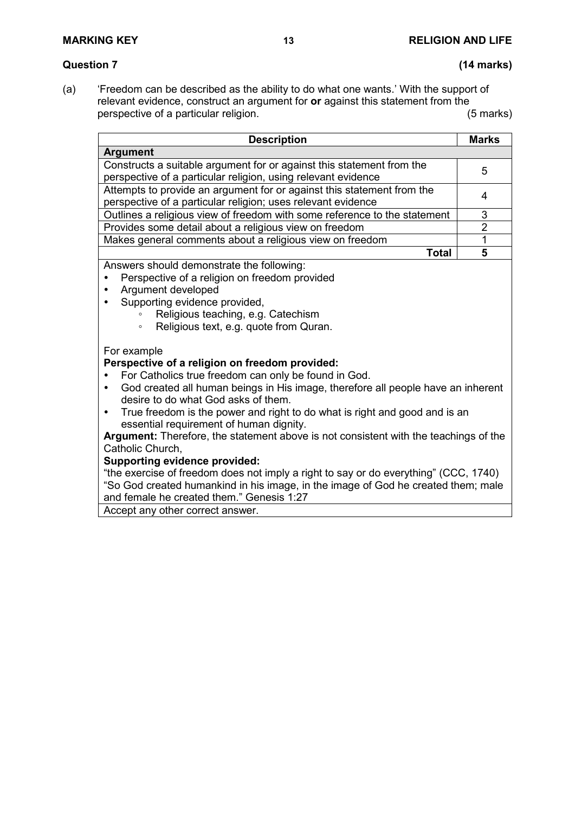# **Question 7 (14 marks)**

(a) 'Freedom can be described as the ability to do what one wants.' With the support of relevant evidence, construct an argument for **or** against this statement from the perspective of a particular religion. perspective of a particular religion.

| <b>Description</b>                                                                                                                                                                                                                                                                                                                                                                                                                                                                          | <b>Marks</b>            |
|---------------------------------------------------------------------------------------------------------------------------------------------------------------------------------------------------------------------------------------------------------------------------------------------------------------------------------------------------------------------------------------------------------------------------------------------------------------------------------------------|-------------------------|
| <b>Argument</b>                                                                                                                                                                                                                                                                                                                                                                                                                                                                             |                         |
| Constructs a suitable argument for or against this statement from the<br>perspective of a particular religion, using relevant evidence                                                                                                                                                                                                                                                                                                                                                      | 5                       |
| Attempts to provide an argument for or against this statement from the<br>perspective of a particular religion; uses relevant evidence                                                                                                                                                                                                                                                                                                                                                      | 4                       |
| Outlines a religious view of freedom with some reference to the statement                                                                                                                                                                                                                                                                                                                                                                                                                   | 3                       |
| Provides some detail about a religious view on freedom                                                                                                                                                                                                                                                                                                                                                                                                                                      | $\overline{2}$          |
| Makes general comments about a religious view on freedom                                                                                                                                                                                                                                                                                                                                                                                                                                    | 1                       |
| <b>Total</b>                                                                                                                                                                                                                                                                                                                                                                                                                                                                                | $\overline{\mathbf{5}}$ |
| Argument developed<br>Supporting evidence provided,<br>Religious teaching, e.g. Catechism<br>Religious text, e.g. quote from Quran.<br>$\circ$                                                                                                                                                                                                                                                                                                                                              |                         |
| For example<br>Perspective of a religion on freedom provided:<br>For Catholics true freedom can only be found in God.<br>God created all human beings in His image, therefore all people have an inherent<br>$\bullet$<br>desire to do what God asks of them.<br>True freedom is the power and right to do what is right and good and is an<br>$\bullet$<br>essential requirement of human dignity.<br>Argument: Therefore, the statement above is not consistent with the teachings of the |                         |
| Catholic Church,<br><b>Supporting evidence provided:</b>                                                                                                                                                                                                                                                                                                                                                                                                                                    |                         |
| "the exercise of freedom does not imply a right to say or do everything" (CCC, 1740)<br>"So God created humankind in his image, in the image of God he created them; male                                                                                                                                                                                                                                                                                                                   |                         |

and female he created them." Genesis 1:27

Accept any other correct answer.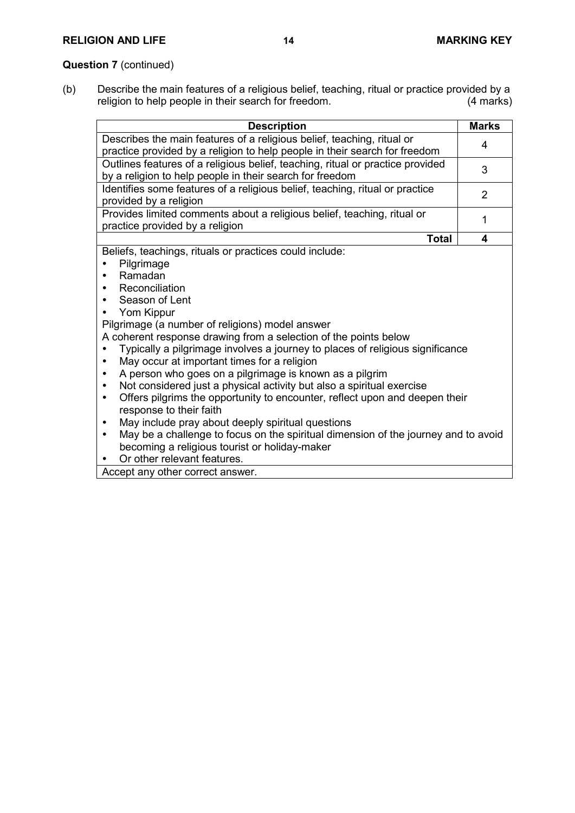# **Question 7** (continued)

(b) Describe the main features of a religious belief, teaching, ritual or practice provided by a religion to help people in their search for freedom. (4 marks)

| <b>Description</b>                                                                                                                                                                                                                                                                                                                                                                                                                                                                                                                                                                                                                                                                                                                                                                                                                                                 | <b>Marks</b> |
|--------------------------------------------------------------------------------------------------------------------------------------------------------------------------------------------------------------------------------------------------------------------------------------------------------------------------------------------------------------------------------------------------------------------------------------------------------------------------------------------------------------------------------------------------------------------------------------------------------------------------------------------------------------------------------------------------------------------------------------------------------------------------------------------------------------------------------------------------------------------|--------------|
| Describes the main features of a religious belief, teaching, ritual or<br>practice provided by a religion to help people in their search for freedom                                                                                                                                                                                                                                                                                                                                                                                                                                                                                                                                                                                                                                                                                                               | 4            |
| Outlines features of a religious belief, teaching, ritual or practice provided<br>by a religion to help people in their search for freedom                                                                                                                                                                                                                                                                                                                                                                                                                                                                                                                                                                                                                                                                                                                         | 3            |
| Identifies some features of a religious belief, teaching, ritual or practice<br>provided by a religion                                                                                                                                                                                                                                                                                                                                                                                                                                                                                                                                                                                                                                                                                                                                                             | 2            |
| Provides limited comments about a religious belief, teaching, ritual or<br>practice provided by a religion                                                                                                                                                                                                                                                                                                                                                                                                                                                                                                                                                                                                                                                                                                                                                         | 1            |
| <b>Total</b>                                                                                                                                                                                                                                                                                                                                                                                                                                                                                                                                                                                                                                                                                                                                                                                                                                                       | 4            |
| Pilgrimage<br>Ramadan<br>Reconciliation<br>Season of Lent<br>Yom Kippur<br>Pilgrimage (a number of religions) model answer<br>A coherent response drawing from a selection of the points below<br>Typically a pilgrimage involves a journey to places of religious significance<br>May occur at important times for a religion<br>A person who goes on a pilgrimage is known as a pilgrim<br>Not considered just a physical activity but also a spiritual exercise<br>٠<br>Offers pilgrims the opportunity to encounter, reflect upon and deepen their<br>$\bullet$<br>response to their faith<br>May include pray about deeply spiritual questions<br>May be a challenge to focus on the spiritual dimension of the journey and to avoid<br>٠<br>becoming a religious tourist or holiday-maker<br>Or other relevant features.<br>Accept any other correct answer. |              |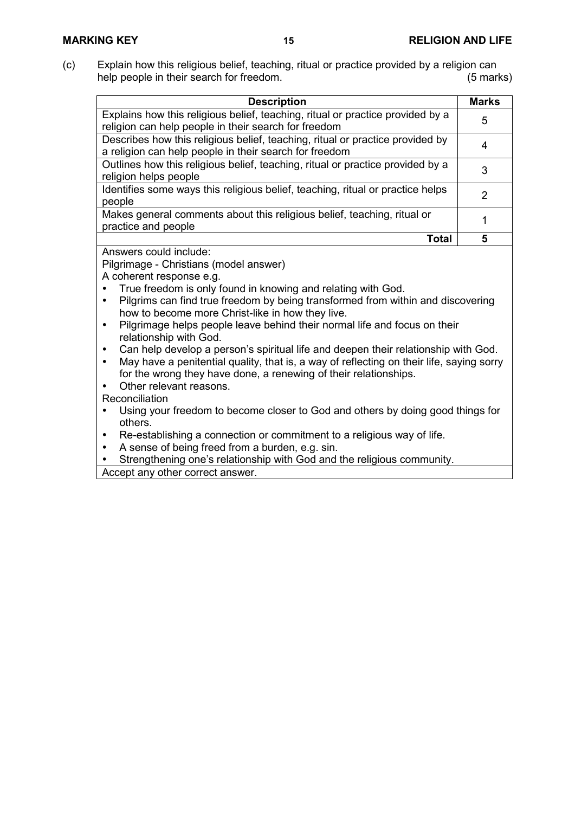(c) Explain how this religious belief, teaching, ritual or practice provided by a religion can help people in their search for freedom. (5 marks)

| <b>Description</b>                                                                                                                      | <b>Marks</b> |
|-----------------------------------------------------------------------------------------------------------------------------------------|--------------|
| Explains how this religious belief, teaching, ritual or practice provided by a<br>religion can help people in their search for freedom  | 5            |
| Describes how this religious belief, teaching, ritual or practice provided by<br>a religion can help people in their search for freedom | 4            |
| Outlines how this religious belief, teaching, ritual or practice provided by a<br>religion helps people                                 | 3            |
| Identifies some ways this religious belief, teaching, ritual or practice helps<br>people                                                | 2            |
| Makes general comments about this religious belief, teaching, ritual or<br>practice and people                                          |              |
| Total                                                                                                                                   | 5            |
| Answers could include:                                                                                                                  |              |
| Pilgrimage - Christians (model answer)                                                                                                  |              |

A coherent response e.g.

- True freedom is only found in knowing and relating with God.
- Pilgrims can find true freedom by being transformed from within and discovering how to become more Christ-like in how they live.
- Pilgrimage helps people leave behind their normal life and focus on their relationship with God.
- Can help develop a person's spiritual life and deepen their relationship with God.
- May have a penitential quality, that is, a way of reflecting on their life, saying sorry for the wrong they have done, a renewing of their relationships.

Other relevant reasons.

Reconciliation

- Using your freedom to become closer to God and others by doing good things for others.
- Re-establishing a connection or commitment to a religious way of life.
- A sense of being freed from a burden, e.g. sin.
- Strengthening one's relationship with God and the religious community.

Accept any other correct answer.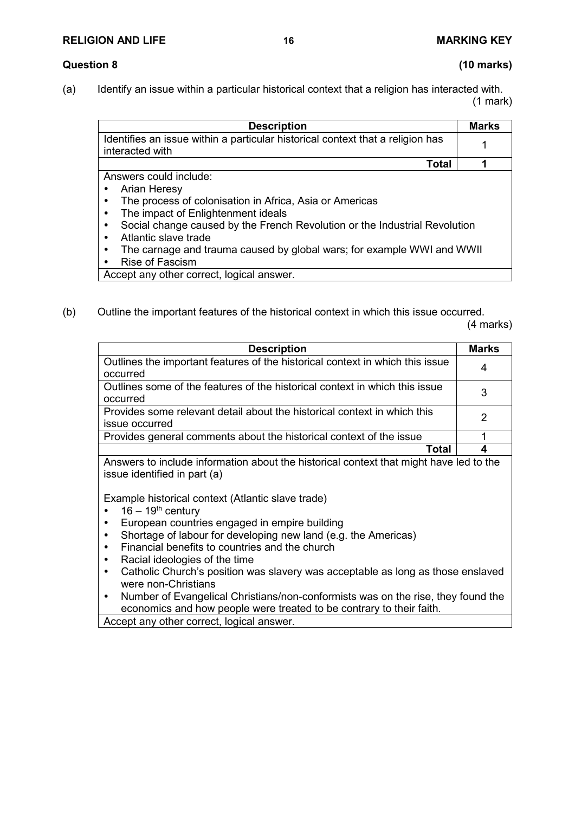### **RELIGION AND LIFE 16 MARKING KEY**

# **Question 8 (10 marks)**

(a) Identify an issue within a particular historical context that a religion has interacted with.

(1 mark)

|                                                                                | <b>Marks</b> |
|--------------------------------------------------------------------------------|--------------|
| <b>Description</b>                                                             |              |
| Identifies an issue within a particular historical context that a religion has |              |
| interacted with                                                                |              |
| Total                                                                          |              |

Answers could include:

- Arian Heresy
- The process of colonisation in Africa, Asia or Americas
- The impact of Enlightenment ideals
- Social change caused by the French Revolution or the Industrial Revolution
- Atlantic slave trade
- The carnage and trauma caused by global wars; for example WWI and WWII
- Rise of Fascism

Accept any other correct, logical answer.

## (b) Outline the important features of the historical context in which this issue occurred.

(4 marks)

| <b>Description</b>                                                                         | <b>Marks</b> |
|--------------------------------------------------------------------------------------------|--------------|
| Outlines the important features of the historical context in which this issue<br>occurred  | 4            |
| Outlines some of the features of the historical context in which this issue<br>occurred    | 3            |
| Provides some relevant detail about the historical context in which this<br>issue occurred | 2            |
| Provides general comments about the historical context of the issue                        |              |
| ⊺ิ∩tal                                                                                     |              |

Answers to include information about the historical context that might have led to the issue identified in part (a)

Example historical context (Atlantic slave trade)

- $16 19^{th}$  century<br>• European countri
- European countries engaged in empire building
- Shortage of labour for developing new land (e.g. the Americas)
- Financial benefits to countries and the church
- Racial ideologies of the time
- Catholic Church's position was slavery was acceptable as long as those enslaved were non-Christians
- Number of Evangelical Christians/non-conformists was on the rise, they found the economics and how people were treated to be contrary to their faith.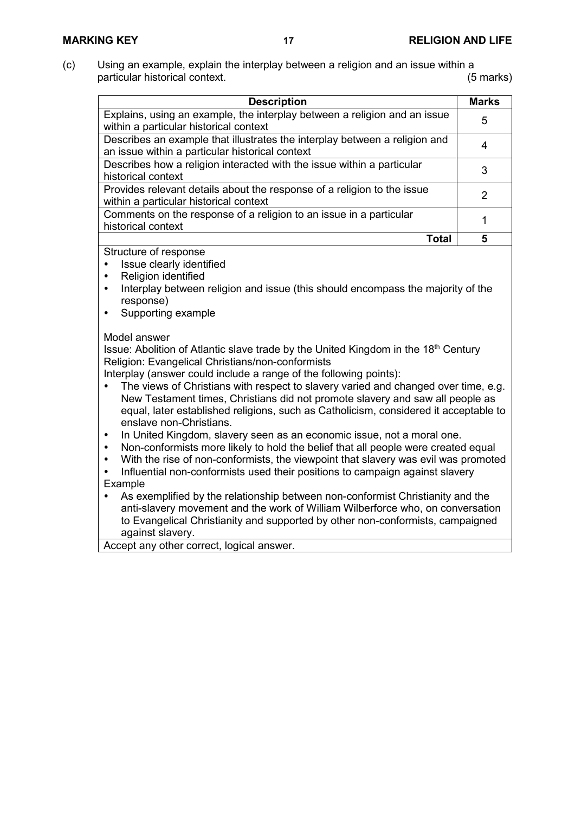(c) Using an example, explain the interplay between a religion and an issue within a particular historical context. (5 marks)

| <b>Description</b>                                                                                                            | <b>Marks</b> |
|-------------------------------------------------------------------------------------------------------------------------------|--------------|
| Explains, using an example, the interplay between a religion and an issue<br>within a particular historical context           | 5            |
| Describes an example that illustrates the interplay between a religion and<br>an issue within a particular historical context | 4            |
| Describes how a religion interacted with the issue within a particular<br>historical context                                  | 3            |
| Provides relevant details about the response of a religion to the issue<br>within a particular historical context             | 2            |
| Comments on the response of a religion to an issue in a particular<br>historical context                                      |              |
| <b>Total</b>                                                                                                                  | 5            |
| Structure of response<br>Issue clearly identified                                                                             |              |

- Religion identified
- Interplay between religion and issue (this should encompass the majority of the response)
- Supporting example

### Model answer

Issue: Abolition of Atlantic slave trade by the United Kingdom in the 18<sup>th</sup> Century Religion: Evangelical Christians/non-conformists

Interplay (answer could include a range of the following points):

- The views of Christians with respect to slavery varied and changed over time, e.g. New Testament times, Christians did not promote slavery and saw all people as equal, later established religions, such as Catholicism, considered it acceptable to enslave non-Christians.
- In United Kingdom, slavery seen as an economic issue, not a moral one.
- Non-conformists more likely to hold the belief that all people were created equal
- With the rise of non-conformists, the viewpoint that slavery was evil was promoted
- Influential non-conformists used their positions to campaign against slavery Example
- As exemplified by the relationship between non-conformist Christianity and the anti-slavery movement and the work of William Wilberforce who, on conversation to Evangelical Christianity and supported by other non-conformists, campaigned against slavery.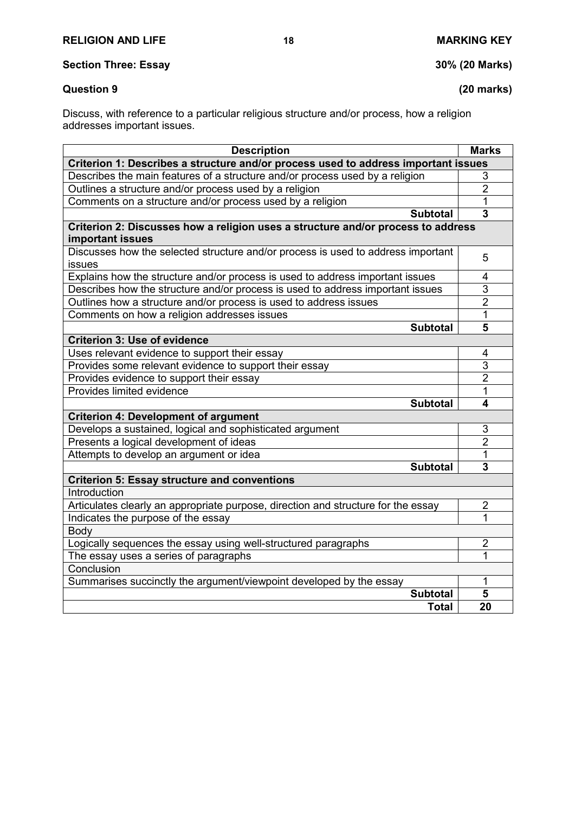**Section Three: Essay 30% (20 Marks)**

## **Question 9 (20 marks)**

Discuss, with reference to a particular religious structure and/or process, how a religion addresses important issues.

| <b>Description</b>                                                                                   | <b>Marks</b>   |  |
|------------------------------------------------------------------------------------------------------|----------------|--|
| Criterion 1: Describes a structure and/or process used to address important issues                   |                |  |
| Describes the main features of a structure and/or process used by a religion                         | 3              |  |
| Outlines a structure and/or process used by a religion                                               | $\overline{2}$ |  |
| Comments on a structure and/or process used by a religion                                            | 1              |  |
| <b>Subtotal</b>                                                                                      | 3              |  |
| Criterion 2: Discusses how a religion uses a structure and/or process to address<br>important issues |                |  |
| Discusses how the selected structure and/or process is used to address important<br>issues           | 5              |  |
| Explains how the structure and/or process is used to address important issues                        | 4              |  |
| Describes how the structure and/or process is used to address important issues                       | 3              |  |
| Outlines how a structure and/or process is used to address issues                                    | $\overline{2}$ |  |
| Comments on how a religion addresses issues                                                          | 1              |  |
| <b>Subtotal</b>                                                                                      | 5              |  |
| <b>Criterion 3: Use of evidence</b>                                                                  |                |  |
| Uses relevant evidence to support their essay                                                        | 4              |  |
| Provides some relevant evidence to support their essay                                               | $\overline{3}$ |  |
| Provides evidence to support their essay                                                             | $\overline{2}$ |  |
| Provides limited evidence                                                                            | 1              |  |
| <b>Subtotal</b>                                                                                      | 4              |  |
| <b>Criterion 4: Development of argument</b>                                                          |                |  |
| Develops a sustained, logical and sophisticated argument                                             | 3              |  |
| Presents a logical development of ideas                                                              | $\overline{2}$ |  |
| Attempts to develop an argument or idea                                                              | 1              |  |
| <b>Subtotal</b>                                                                                      | 3              |  |
| <b>Criterion 5: Essay structure and conventions</b>                                                  |                |  |
| Introduction                                                                                         |                |  |
| Articulates clearly an appropriate purpose, direction and structure for the essay                    | $\overline{2}$ |  |
| Indicates the purpose of the essay                                                                   | 1              |  |
| Body                                                                                                 |                |  |
| Logically sequences the essay using well-structured paragraphs                                       | $\overline{2}$ |  |
| The essay uses a series of paragraphs                                                                | 1              |  |
| Conclusion                                                                                           |                |  |
| Summarises succinctly the argument/viewpoint developed by the essay                                  | 1              |  |
| <b>Subtotal</b>                                                                                      | 5              |  |
| <b>Total</b>                                                                                         | 20             |  |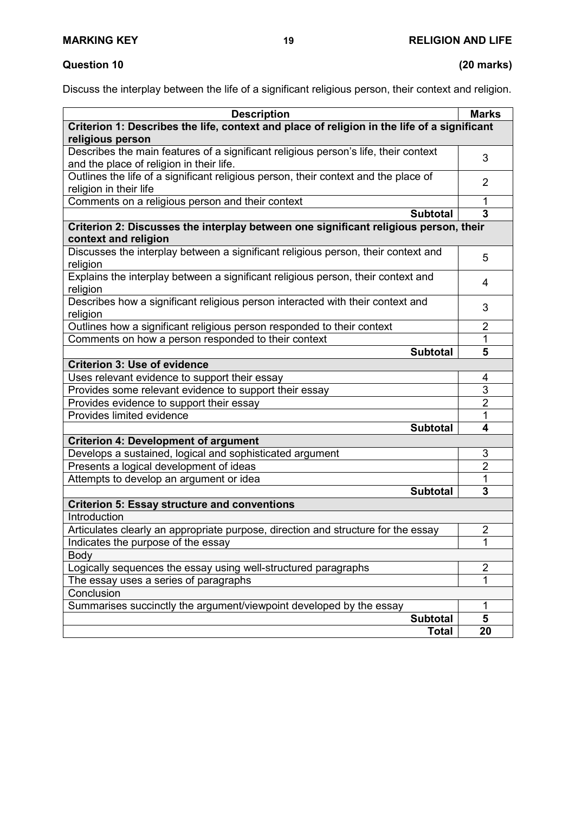# **Question 10 (20 marks)**

Discuss the interplay between the life of a significant religious person, their context and religion.

| <b>Description</b>                                                                                                              | <b>Marks</b>   |  |
|---------------------------------------------------------------------------------------------------------------------------------|----------------|--|
| Criterion 1: Describes the life, context and place of religion in the life of a significant                                     |                |  |
| religious person                                                                                                                |                |  |
| Describes the main features of a significant religious person's life, their context<br>and the place of religion in their life. | 3              |  |
| Outlines the life of a significant religious person, their context and the place of                                             | $\overline{2}$ |  |
| religion in their life                                                                                                          |                |  |
| Comments on a religious person and their context                                                                                | 1              |  |
| <b>Subtotal</b>                                                                                                                 | 3              |  |
| Criterion 2: Discusses the interplay between one significant religious person, their<br>context and religion                    |                |  |
| Discusses the interplay between a significant religious person, their context and<br>religion                                   | 5              |  |
| Explains the interplay between a significant religious person, their context and<br>religion                                    | 4              |  |
| Describes how a significant religious person interacted with their context and<br>religion                                      | 3              |  |
| Outlines how a significant religious person responded to their context                                                          | $\overline{2}$ |  |
| Comments on how a person responded to their context                                                                             | 1              |  |
| <b>Subtotal</b>                                                                                                                 | 5              |  |
| <b>Criterion 3: Use of evidence</b>                                                                                             |                |  |
| Uses relevant evidence to support their essay                                                                                   | 4              |  |
| Provides some relevant evidence to support their essay                                                                          | 3              |  |
| Provides evidence to support their essay                                                                                        | $\overline{2}$ |  |
| Provides limited evidence                                                                                                       | $\mathbf 1$    |  |
| <b>Subtotal</b>                                                                                                                 | 4              |  |
| <b>Criterion 4: Development of argument</b>                                                                                     |                |  |
| Develops a sustained, logical and sophisticated argument                                                                        | 3              |  |
| Presents a logical development of ideas                                                                                         | 2              |  |
| Attempts to develop an argument or idea                                                                                         | 1              |  |
| <b>Subtotal</b>                                                                                                                 | 3              |  |
| <b>Criterion 5: Essay structure and conventions</b>                                                                             |                |  |
| Introduction                                                                                                                    |                |  |
| Articulates clearly an appropriate purpose, direction and structure for the essay                                               | $\overline{2}$ |  |
| Indicates the purpose of the essay                                                                                              | 1              |  |
| Body                                                                                                                            |                |  |
| Logically sequences the essay using well-structured paragraphs                                                                  | 2              |  |
| The essay uses a series of paragraphs                                                                                           | 1              |  |
| Conclusion                                                                                                                      |                |  |
| Summarises succinctly the argument/viewpoint developed by the essay                                                             | $\mathbf{1}$   |  |
| <b>Subtotal</b>                                                                                                                 | 5              |  |
| <b>Total</b>                                                                                                                    | 20             |  |